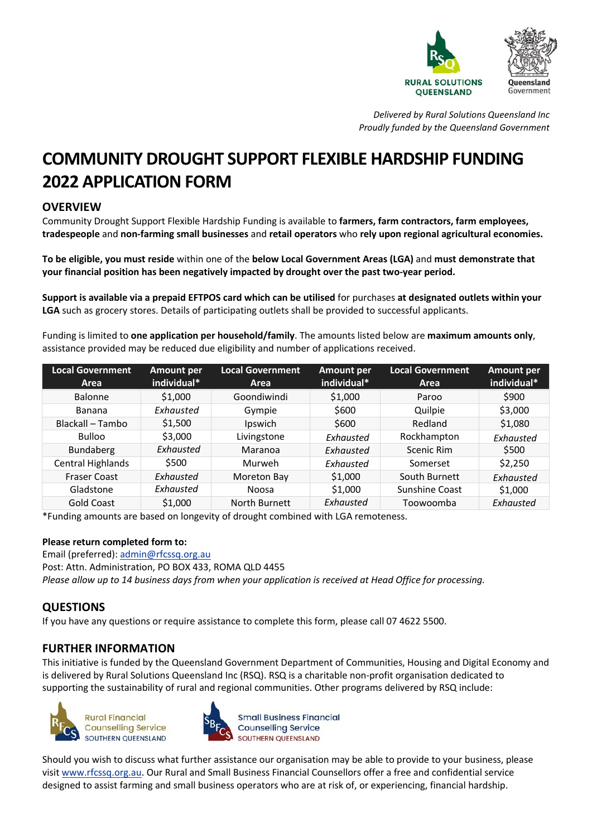

*Delivered by Rural Solutions Queensland Inc Proudly funded by the Queensland Government*

# **COMMUNITY DROUGHT SUPPORT FLEXIBLE HARDSHIP FUNDING 2022 APPLICATION FORM**

## **OVERVIEW**

Community Drought Support Flexible Hardship Funding is available to **farmers, farm contractors, farm employees, tradespeople** and **non-farming small businesses** and **retail operators** who **rely upon regional agricultural economies.**

**To be eligible, you must reside** within one of the **below Local Government Areas (LGA)** and **must demonstrate that your financial position has been negatively impacted by drought over the past two-year period.**

**Support is available via a prepaid EFTPOS card which can be utilised** for purchases **at designated outlets within your LGA** such as grocery stores. Details of participating outlets shall be provided to successful applicants.

Funding is limited to **one application per household/family**. The amounts listed below are **maximum amounts only**, assistance provided may be reduced due eligibility and number of applications received.

| <b>Local Government</b><br>Area | <b>Amount per</b><br>individual* | <b>Local Government</b><br>Area | <b>Amount per</b><br>individual* | <b>Local Government</b><br>Area | <b>Amount per</b><br>individual* |
|---------------------------------|----------------------------------|---------------------------------|----------------------------------|---------------------------------|----------------------------------|
|                                 |                                  |                                 |                                  |                                 |                                  |
| <b>Balonne</b>                  | \$1,000                          | Goondiwindi                     | \$1,000                          | Paroo                           | \$900                            |
| Banana                          | Exhausted                        | Gympie                          | \$600                            | Quilpie                         | \$3,000                          |
| Blackall - Tambo                | \$1,500                          | Ipswich                         | \$600                            | Redland                         | \$1,080                          |
| <b>Bulloo</b>                   | \$3,000                          | Livingstone                     | Exhausted                        | Rockhampton                     | Exhausted                        |
| Bundaberg                       | Exhausted                        | Maranoa                         | Exhausted                        | Scenic Rim                      | \$500                            |
| Central Highlands               | \$500                            | Murweh                          | Exhausted                        | Somerset                        | \$2,250                          |
| <b>Fraser Coast</b>             | Exhausted                        | Moreton Bay                     | \$1,000                          | South Burnett                   | Exhausted                        |
| Gladstone                       | Exhausted                        | Noosa                           | \$1,000                          | Sunshine Coast                  | \$1,000                          |
| <b>Gold Coast</b>               | \$1,000                          | North Burnett                   | Exhausted                        | Toowoomba                       | Exhausted                        |

\*Funding amounts are based on longevity of drought combined with LGA remoteness.

#### **Please return completed form to:**

Email (preferred)[: admin@rfcssq.org.au](mailto:admin@rfcssq.org.au) Post: Attn. Administration, PO BOX 433, ROMA QLD 4455 *Please allow up to 14 business days from when your application is received at Head Office for processing.* 

### **QUESTIONS**

If you have any questions or require assistance to complete this form, please call 07 4622 5500.

## **FURTHER INFORMATION**

This initiative is funded by the Queensland Government Department of Communities, Housing and Digital Economy and is delivered by Rural Solutions Queensland Inc (RSQ). RSQ is a charitable non-profit organisation dedicated to supporting the sustainability of rural and regional communities. Other programs delivered by RSQ include:





**Small Business Financial Counselling Service** SOUTHERN OUFFNSLAND

Should you wish to discuss what further assistance our organisation may be able to provide to your business, please visit [www.rfcssq.org.au.](http://www.rfcssq.org.au/) Our Rural and Small Business Financial Counsellors offer a free and confidential service designed to assist farming and small business operators who are at risk of, or experiencing, financial hardship.